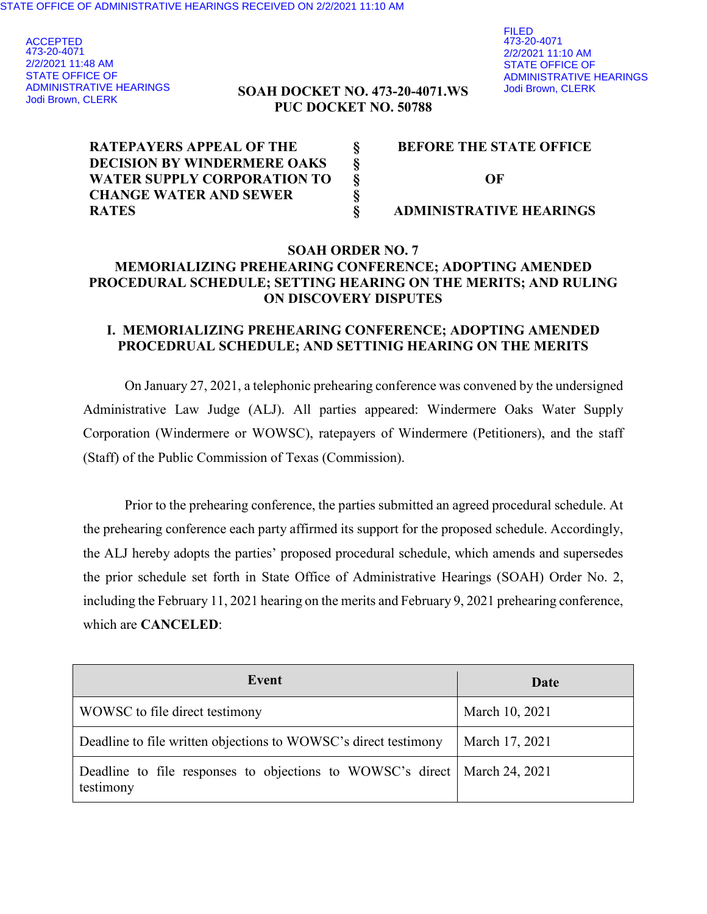ACCEPTED 473-20-4071 2/2/2021 11:48 AM STATE OFFICE OF ADMINISTRATIVE HEARINGS Jodi Brown, CLERK

### **SOAH DOCKET NO. 473-20-4071.WS PUC DOCKET NO. 50788**

| <b>RATEPAYERS APPEAL OF THE</b>    | <b>BEFORE THE STATE OFFICE</b> |
|------------------------------------|--------------------------------|
| <b>DECISION BY WINDERMERE OAKS</b> |                                |
| WATER SUPPLY CORPORATION TO        | OF                             |
| <b>CHANGE WATER AND SEWER</b>      |                                |
| <b>RATES</b>                       | <b>ADMINISTRATIVE HEARINGS</b> |

### **SOAH ORDER NO. 7 MEMORIALIZING PREHEARING CONFERENCE; ADOPTING AMENDED PROCEDURAL SCHEDULE; SETTING HEARING ON THE MERITS; AND RULING ON DISCOVERY DISPUTES**

### **I. MEMORIALIZING PREHEARING CONFERENCE; ADOPTING AMENDED PROCEDRUAL SCHEDULE; AND SETTINIG HEARING ON THE MERITS**

On January 27, 2021, a telephonic prehearing conference was convened by the undersigned Administrative Law Judge (ALJ). All parties appeared: Windermere Oaks Water Supply Corporation (Windermere or WOWSC), ratepayers of Windermere (Petitioners), and the staff (Staff) of the Public Commission of Texas (Commission).

Prior to the prehearing conference, the parties submitted an agreed procedural schedule. At the prehearing conference each party affirmed its support for the proposed schedule. Accordingly, the ALJ hereby adopts the parties' proposed procedural schedule, which amends and supersedes the prior schedule set forth in State Office of Administrative Hearings (SOAH) Order No. 2, including the February 11, 2021 hearing on the merits and February 9, 2021 prehearing conference, which are **CANCELED**:

| Event                                                                                    | Date           |
|------------------------------------------------------------------------------------------|----------------|
| WOWSC to file direct testimony                                                           | March 10, 2021 |
| Deadline to file written objections to WOWSC's direct testimony                          | March 17, 2021 |
| Deadline to file responses to objections to WOWSC's direct   March 24, 2021<br>testimony |                |

FILED 473-20-4071 2/2/2021 11:10 AM STATE OFFICE OF ADMINISTRATIVE HEARINGS Jodi Brown, CLERK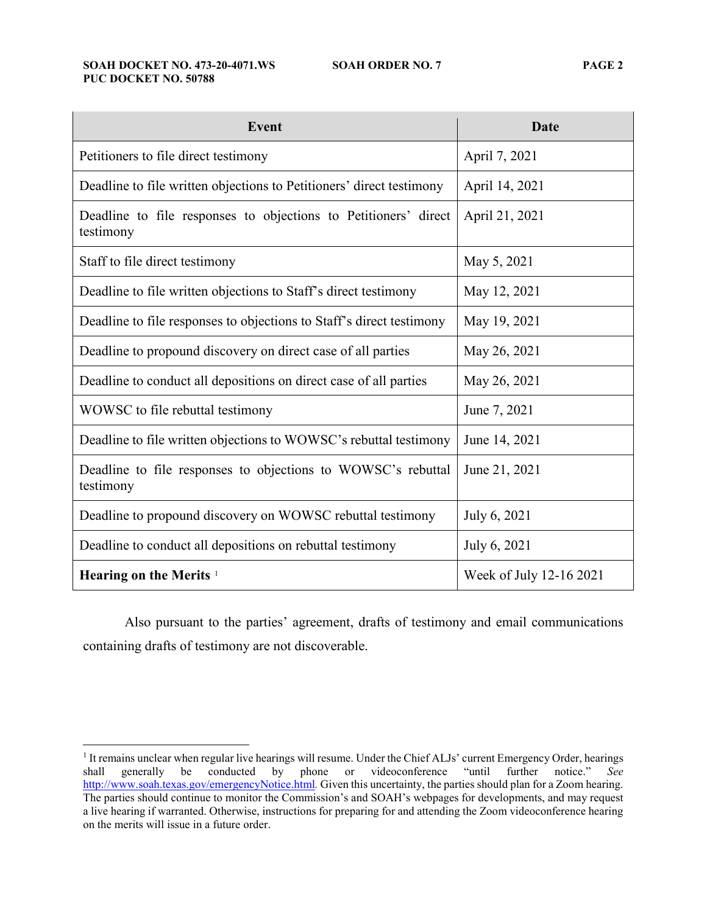#### **SOAH DOCKET NO. 473-20-4071.WS SOAH ORDER NO. 7 PAGE 2 PUC DOCKET NO. 50788**

| <b>Event</b>                                                                 | <b>Date</b>             |
|------------------------------------------------------------------------------|-------------------------|
| Petitioners to file direct testimony                                         | April 7, 2021           |
| Deadline to file written objections to Petitioners' direct testimony         | April 14, 2021          |
| Deadline to file responses to objections to Petitioners' direct<br>testimony | April 21, 2021          |
| Staff to file direct testimony                                               | May 5, 2021             |
| Deadline to file written objections to Staff's direct testimony              | May 12, 2021            |
| Deadline to file responses to objections to Staff's direct testimony         | May 19, 2021            |
| Deadline to propound discovery on direct case of all parties                 | May 26, 2021            |
| Deadline to conduct all depositions on direct case of all parties            | May 26, 2021            |
| WOWSC to file rebuttal testimony                                             | June 7, 2021            |
| Deadline to file written objections to WOWSC's rebuttal testimony            | June 14, 2021           |
| Deadline to file responses to objections to WOWSC's rebuttal<br>testimony    | June 21, 2021           |
| Deadline to propound discovery on WOWSC rebuttal testimony                   | July 6, 2021            |
| Deadline to conduct all depositions on rebuttal testimony                    | July 6, 2021            |
| Hearing on the Merits <sup>1</sup>                                           | Week of July 12-16 2021 |

Also pursuant to the parties' agreement, drafts of testimony and email communications containing drafts of testimony are not discoverable.

<sup>&</sup>lt;sup>1</sup> It remains unclear when regular live hearings will resume. Under the Chief ALJs' current Emergency Order, hearings shall generally be conducted by phone or videoconference "until further notice." *See*  http://www.soah.texas.gov/emergencyNotice.html*.* Given this uncertainty, the parties should plan for a Zoom hearing. The parties should continue to monitor the Commission's and SOAH's webpages for developments, and may request a live hearing if warranted. Otherwise, instructions for preparing for and attending the Zoom videoconference hearing on the merits will issue in a future order.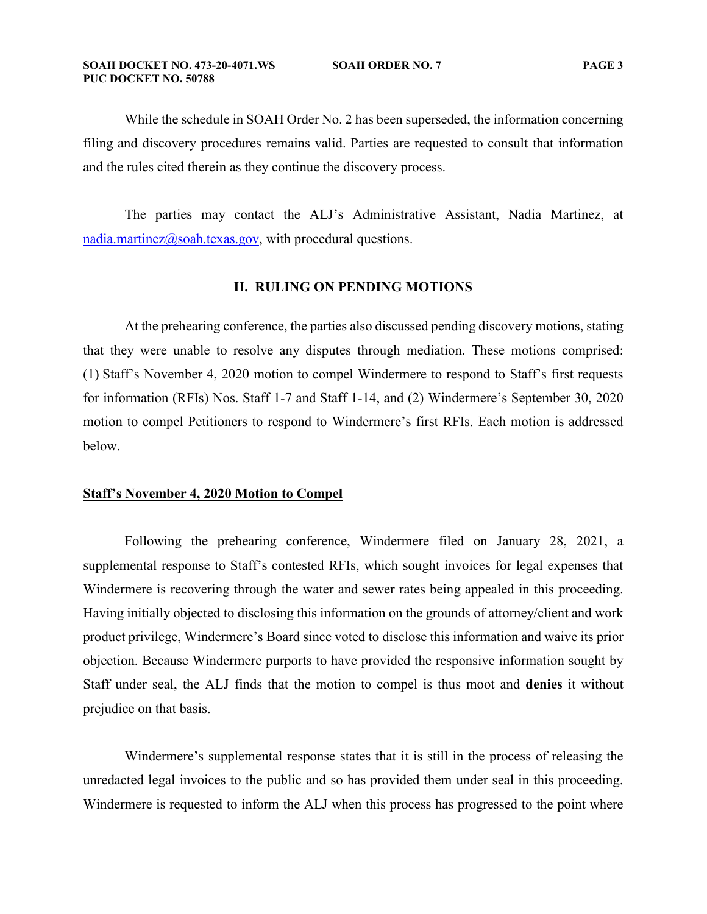While the schedule in SOAH Order No. 2 has been superseded, the information concerning filing and discovery procedures remains valid. Parties are requested to consult that information and the rules cited therein as they continue the discovery process.

The parties may contact the ALJ's Administrative Assistant, Nadia Martinez, at nadia.martinez@soah.texas.gov, with procedural questions.

#### **II. RULING ON PENDING MOTIONS**

At the prehearing conference, the parties also discussed pending discovery motions, stating that they were unable to resolve any disputes through mediation. These motions comprised: (1) Staff's November 4, 2020 motion to compel Windermere to respond to Staff's first requests for information (RFIs) Nos. Staff 1-7 and Staff 1-14, and (2) Windermere's September 30, 2020 motion to compel Petitioners to respond to Windermere's first RFIs. Each motion is addressed below.

### **Staff's November 4, 2020 Motion to Compel**

Following the prehearing conference, Windermere filed on January 28, 2021, a supplemental response to Staff's contested RFIs, which sought invoices for legal expenses that Windermere is recovering through the water and sewer rates being appealed in this proceeding. Having initially objected to disclosing this information on the grounds of attorney/client and work product privilege, Windermere's Board since voted to disclose this information and waive its prior objection. Because Windermere purports to have provided the responsive information sought by Staff under seal, the ALJ finds that the motion to compel is thus moot and **denies** it without prejudice on that basis.

Windermere's supplemental response states that it is still in the process of releasing the unredacted legal invoices to the public and so has provided them under seal in this proceeding. Windermere is requested to inform the ALJ when this process has progressed to the point where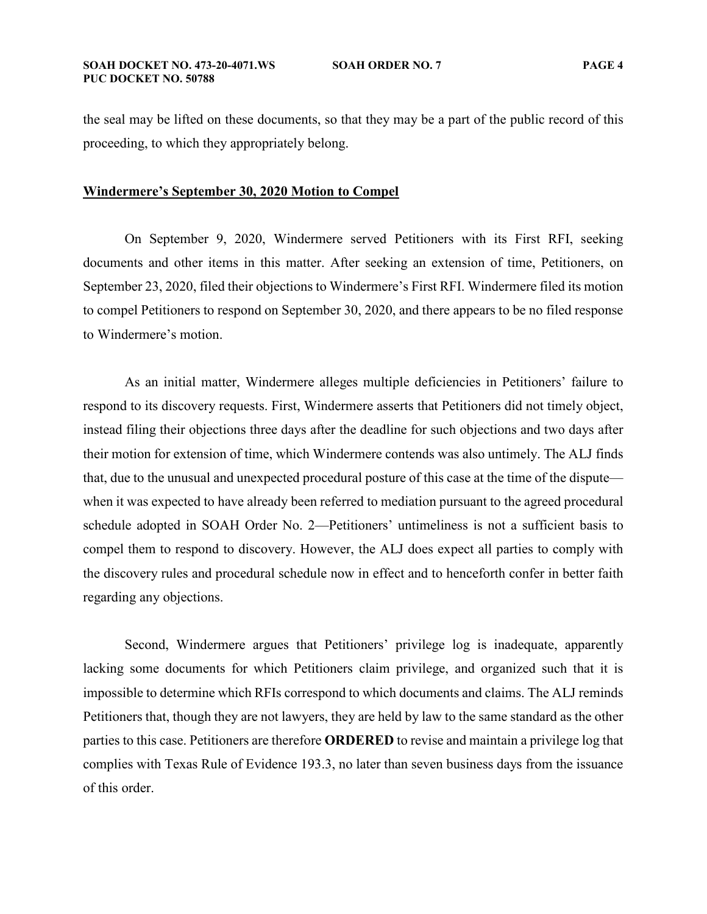the seal may be lifted on these documents, so that they may be a part of the public record of this proceeding, to which they appropriately belong.

### **Windermere's September 30, 2020 Motion to Compel**

On September 9, 2020, Windermere served Petitioners with its First RFI, seeking documents and other items in this matter. After seeking an extension of time, Petitioners, on September 23, 2020, filed their objections to Windermere's First RFI. Windermere filed its motion to compel Petitioners to respond on September 30, 2020, and there appears to be no filed response to Windermere's motion.

As an initial matter, Windermere alleges multiple deficiencies in Petitioners' failure to respond to its discovery requests. First, Windermere asserts that Petitioners did not timely object, instead filing their objections three days after the deadline for such objections and two days after their motion for extension of time, which Windermere contends was also untimely. The ALJ finds that, due to the unusual and unexpected procedural posture of this case at the time of the dispute when it was expected to have already been referred to mediation pursuant to the agreed procedural schedule adopted in SOAH Order No. 2—Petitioners' untimeliness is not a sufficient basis to compel them to respond to discovery. However, the ALJ does expect all parties to comply with the discovery rules and procedural schedule now in effect and to henceforth confer in better faith regarding any objections.

Second, Windermere argues that Petitioners' privilege log is inadequate, apparently lacking some documents for which Petitioners claim privilege, and organized such that it is impossible to determine which RFIs correspond to which documents and claims. The ALJ reminds Petitioners that, though they are not lawyers, they are held by law to the same standard as the other parties to this case. Petitioners are therefore **ORDERED** to revise and maintain a privilege log that complies with Texas Rule of Evidence 193.3, no later than seven business days from the issuance of this order.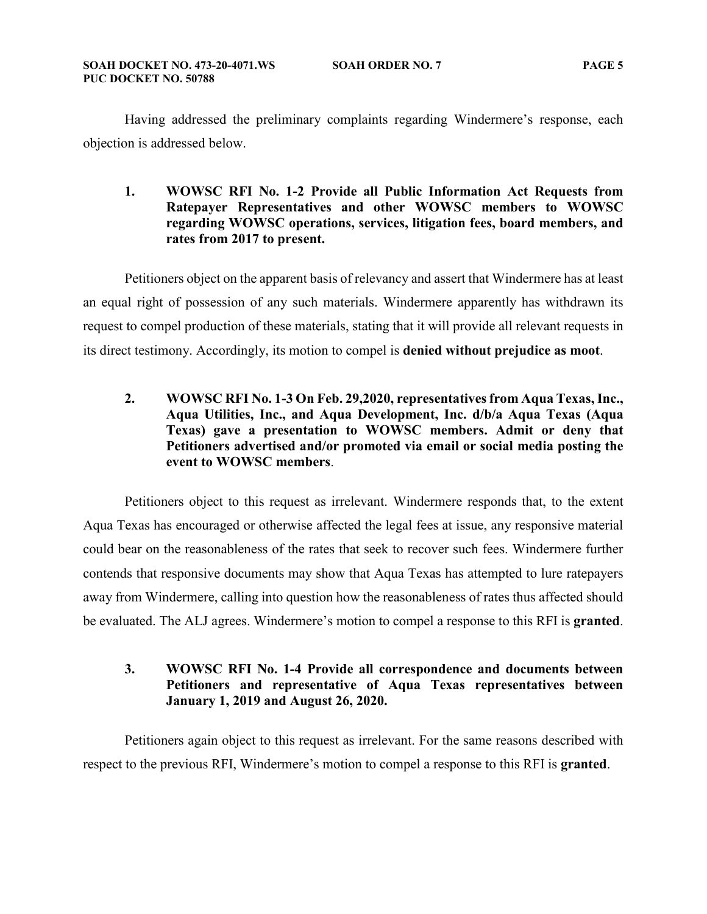Having addressed the preliminary complaints regarding Windermere's response, each objection is addressed below.

### **1. WOWSC RFI No. 1-2 Provide all Public Information Act Requests from Ratepayer Representatives and other WOWSC members to WOWSC regarding WOWSC operations, services, litigation fees, board members, and rates from 2017 to present.**

Petitioners object on the apparent basis of relevancy and assert that Windermere has at least an equal right of possession of any such materials. Windermere apparently has withdrawn its request to compel production of these materials, stating that it will provide all relevant requests in its direct testimony. Accordingly, its motion to compel is **denied without prejudice as moot**.

**2. WOWSC RFI No. 1-3 On Feb. 29,2020, representatives from Aqua Texas, Inc., Aqua Utilities, Inc., and Aqua Development, Inc. d/b/a Aqua Texas (Aqua Texas) gave a presentation to WOWSC members. Admit or deny that Petitioners advertised and/or promoted via email or social media posting the event to WOWSC members**.

Petitioners object to this request as irrelevant. Windermere responds that, to the extent Aqua Texas has encouraged or otherwise affected the legal fees at issue, any responsive material could bear on the reasonableness of the rates that seek to recover such fees. Windermere further contends that responsive documents may show that Aqua Texas has attempted to lure ratepayers away from Windermere, calling into question how the reasonableness of rates thus affected should be evaluated. The ALJ agrees. Windermere's motion to compel a response to this RFI is **granted**.

### **3. WOWSC RFI No. 1-4 Provide all correspondence and documents between Petitioners and representative of Aqua Texas representatives between January 1, 2019 and August 26, 2020.**

Petitioners again object to this request as irrelevant. For the same reasons described with respect to the previous RFI, Windermere's motion to compel a response to this RFI is **granted**.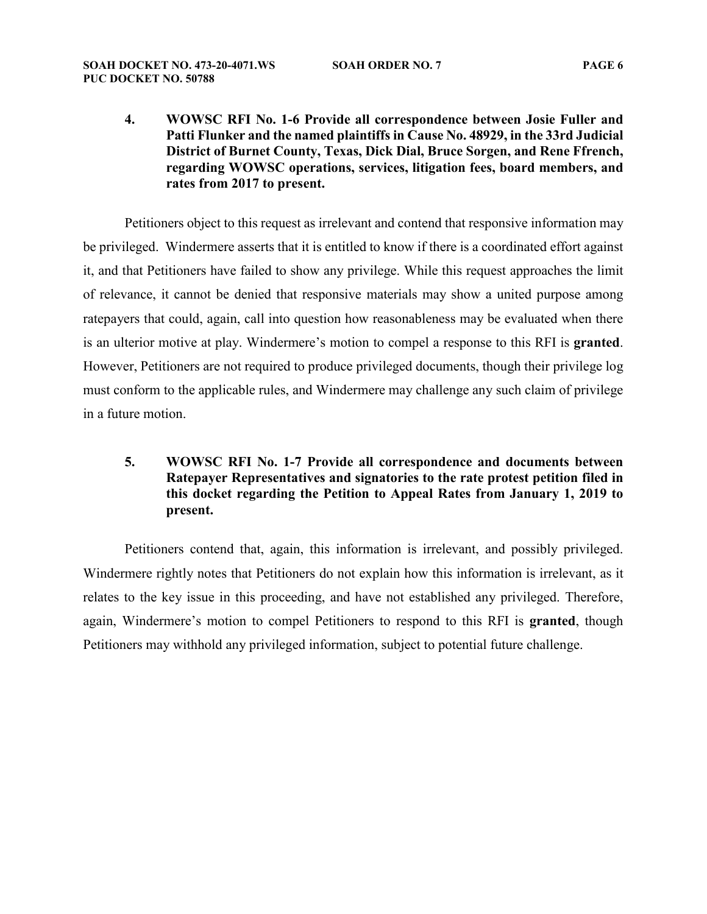**4. WOWSC RFI No. 1-6 Provide all correspondence between Josie Fuller and Patti Flunker and the named plaintiffs in Cause No. 48929, in the 33rd Judicial District of Burnet County, Texas, Dick Dial, Bruce Sorgen, and Rene Ffrench, regarding WOWSC operations, services, litigation fees, board members, and rates from 2017 to present.** 

Petitioners object to this request as irrelevant and contend that responsive information may be privileged. Windermere asserts that it is entitled to know if there is a coordinated effort against it, and that Petitioners have failed to show any privilege. While this request approaches the limit of relevance, it cannot be denied that responsive materials may show a united purpose among ratepayers that could, again, call into question how reasonableness may be evaluated when there is an ulterior motive at play. Windermere's motion to compel a response to this RFI is **granted**. However, Petitioners are not required to produce privileged documents, though their privilege log must conform to the applicable rules, and Windermere may challenge any such claim of privilege in a future motion.

# **5. WOWSC RFI No. 1-7 Provide all correspondence and documents between Ratepayer Representatives and signatories to the rate protest petition filed in this docket regarding the Petition to Appeal Rates from January 1, 2019 to present.**

Petitioners contend that, again, this information is irrelevant, and possibly privileged. Windermere rightly notes that Petitioners do not explain how this information is irrelevant, as it relates to the key issue in this proceeding, and have not established any privileged. Therefore, again, Windermere's motion to compel Petitioners to respond to this RFI is **granted**, though Petitioners may withhold any privileged information, subject to potential future challenge.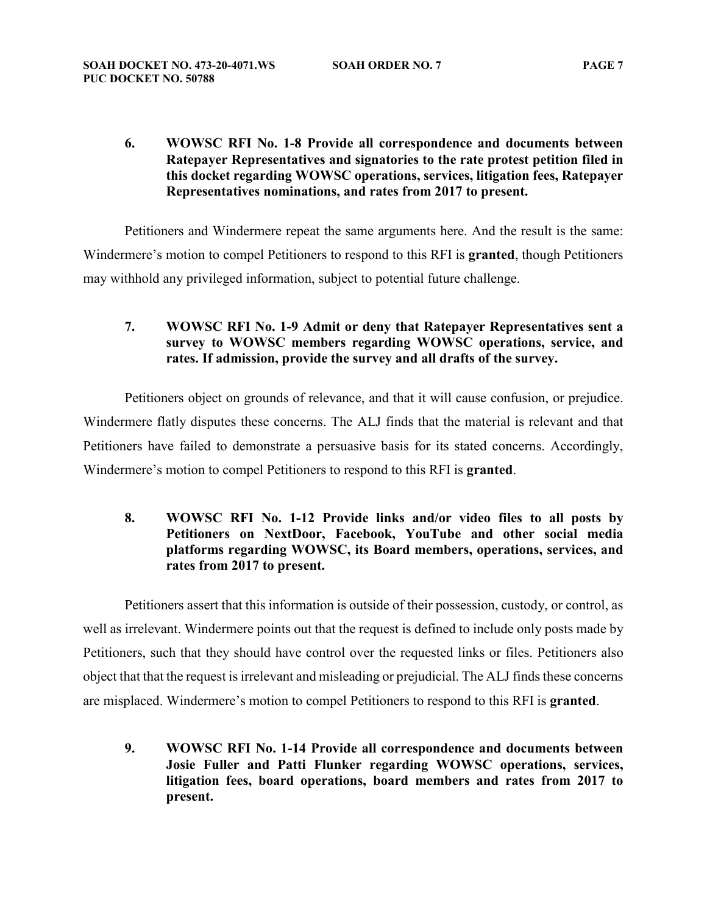**6. WOWSC RFI No. 1-8 Provide all correspondence and documents between Ratepayer Representatives and signatories to the rate protest petition filed in this docket regarding WOWSC operations, services, litigation fees, Ratepayer Representatives nominations, and rates from 2017 to present.**

Petitioners and Windermere repeat the same arguments here. And the result is the same: Windermere's motion to compel Petitioners to respond to this RFI is **granted**, though Petitioners may withhold any privileged information, subject to potential future challenge.

**7. WOWSC RFI No. 1-9 Admit or deny that Ratepayer Representatives sent a survey to WOWSC members regarding WOWSC operations, service, and rates. If admission, provide the survey and all drafts of the survey.** 

Petitioners object on grounds of relevance, and that it will cause confusion, or prejudice. Windermere flatly disputes these concerns. The ALJ finds that the material is relevant and that Petitioners have failed to demonstrate a persuasive basis for its stated concerns. Accordingly, Windermere's motion to compel Petitioners to respond to this RFI is **granted**.

# **8. WOWSC RFI No. 1-12 Provide links and/or video files to all posts by Petitioners on NextDoor, Facebook, YouTube and other social media platforms regarding WOWSC, its Board members, operations, services, and rates from 2017 to present.**

Petitioners assert that this information is outside of their possession, custody, or control, as well as irrelevant. Windermere points out that the request is defined to include only posts made by Petitioners, such that they should have control over the requested links or files. Petitioners also object that that the request is irrelevant and misleading or prejudicial. The ALJ finds these concerns are misplaced. Windermere's motion to compel Petitioners to respond to this RFI is **granted**.

**9. WOWSC RFI No. 1-14 Provide all correspondence and documents between Josie Fuller and Patti Flunker regarding WOWSC operations, services, litigation fees, board operations, board members and rates from 2017 to present.**